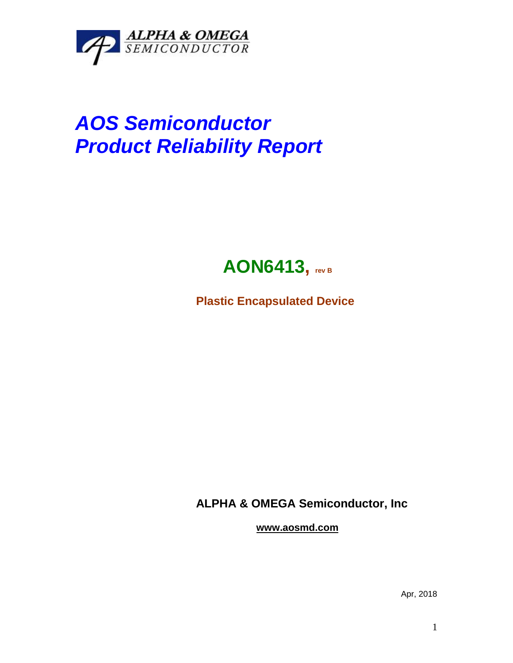

## *AOS Semiconductor Product Reliability Report*



**Plastic Encapsulated Device**

**ALPHA & OMEGA Semiconductor, Inc**

**www.aosmd.com**

Apr, 2018